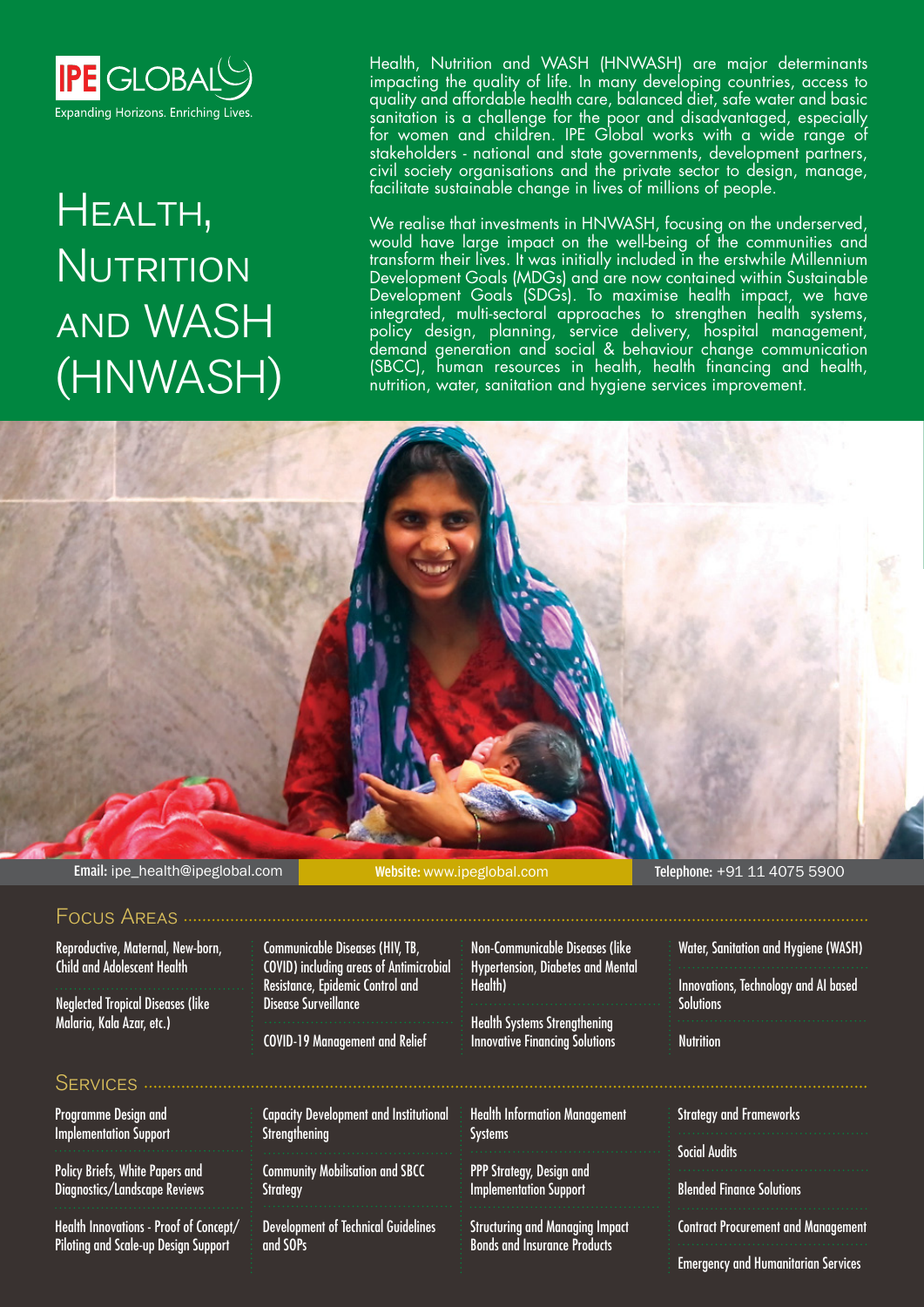

# Health, NUTRITION and WASH (HNWASH)

Health, Nutrition and WASH (HNWASH) are major determinants impacting the quality of life. In many developing countries, access to quality and affordable health care, balanced diet, safe water and basic sanitation is a challenge for the poor and disadvantaged, especially for women and children. IPE Global works with a wide range of stakeholders - national and state governments, development partners, civil society organisations and the private sector to design, manage, facilitate sustainable change in lives of millions of people.

We realise that investments in HNWASH, focusing on the underserved, would have large impact on the well-being of the communities and transform their lives. It was initially included in the erstwhile Millennium Development Goals (MDGs) and are now contained within Sustainable Development Goals (SDGs). To maximise health impact, we have integrated, multi-sectoral approaches to strengthen health systems, policy design, planning, service delivery, hospital management, demand generation and social & behaviour change communication (SBCC), human resources in health, health financing and health, nutrition, water, sanitation and hygiene services improvement.

Email: ipe\_health@ipeglobal.com Website: www.ipeglobal.com Telephone: +91 11 4075 5900

### Focus Areas

Reproductive, Maternal, New-born, Child and Adolescent Health

Neglected Tropical Diseases (like Malaria, Kala Azar, etc.)

## SERVICES .....

Programme Design and Implementation Support

Policy Briefs, White Papers and Diagnostics/Landscape Reviews

Health Innovations - Proof of Concept/ Piloting and Scale-up Design Support

Communicable Diseases (HIV, TB, COVID) including areas of Antimicrobial Resistance, Epidemic Control and Disease Surveillance

COVID-19 Management and Relief

Capacity Development and Institutional **Strengthening** 

Community Mobilisation and SBCC **Strategy** 

Development of Technical Guidelines and SOPs

Non-Communicable Diseases (like Hypertension, Diabetes and Mental Health)

Health Systems Strengthening Innovative Financing Solutions

Health Information Management **Systems** 

PPP Strategy, Design and Implementation Support

Structuring and Managing Impact Bonds and Insurance Products

Water, Sanitation and Hygiene (WASH)

Innovations, Technology and AI based **Solutions** 

**Nutrition** 

Strategy and Frameworks

Social Audits

Blended Finance Solutions

Contract Procurement and Management

Emergency and Humanitarian Services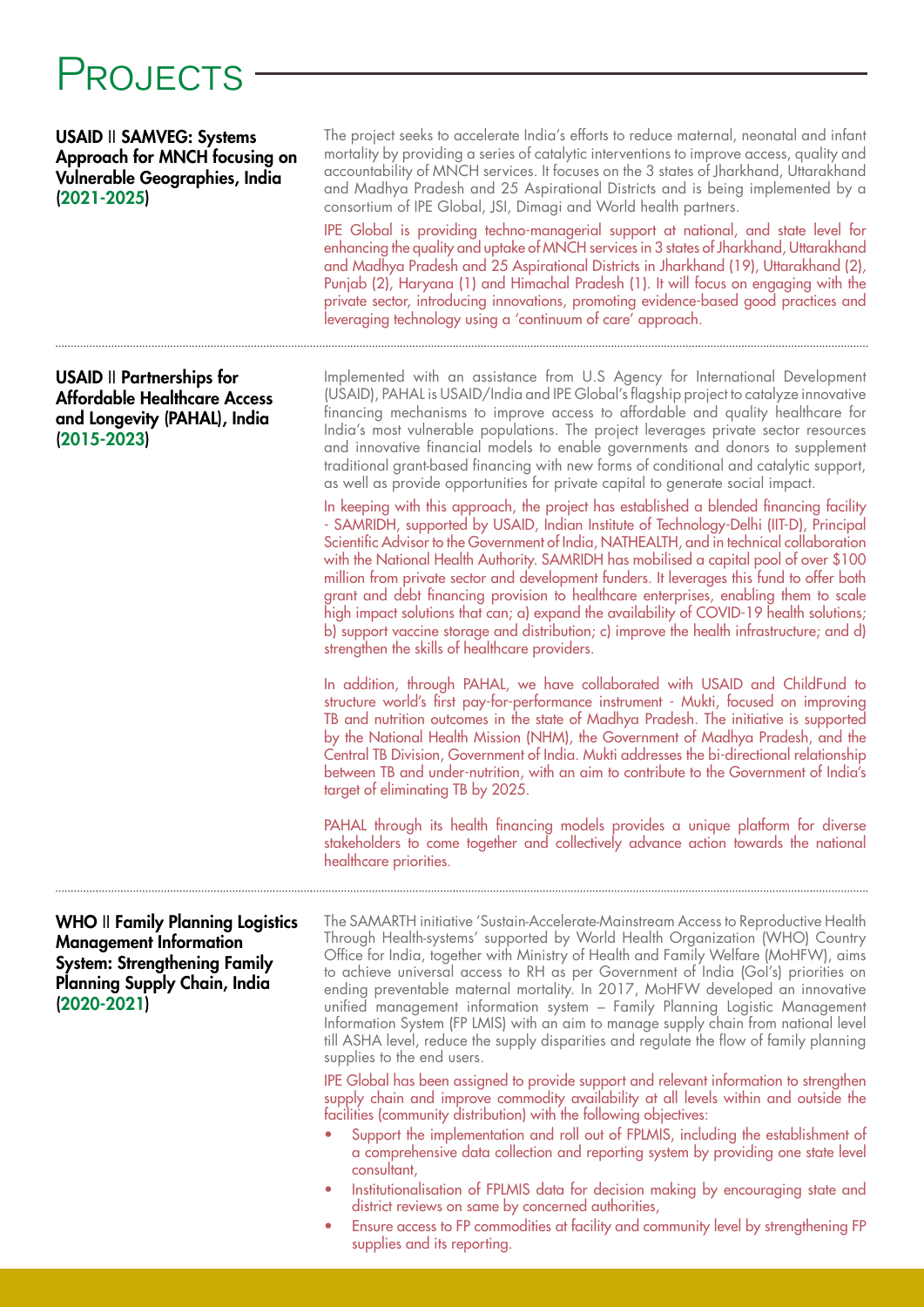# PROJECTS

USAID II SAMVEG: Systems Approach for MNCH focusing on Vulnerable Geographies, India (2021-2025)

USAID II Partnerships for Affordable Healthcare Access and Longevity (PAHAL), India (2015-2023)

The project seeks to accelerate India's efforts to reduce maternal, neonatal and infant mortality by providing a series of catalytic interventions to improve access, quality and accountability of MNCH services. It focuses on the 3 states of Jharkhand, Uttarakhand and Madhya Pradesh and 25 Aspirational Districts and is being implemented by a consortium of IPE Global, JSI, Dimagi and World health partners.

IPE Global is providing techno-managerial support at national, and state level for enhancing the quality and uptake of MNCH services in 3 states of Jharkhand, Uttarakhand and Madhya Pradesh and 25 Aspirational Districts in Jharkhand (19), Uttarakhand (2), Punjab (2), Haryana (1) and Himachal Pradesh (1). It will focus on engaging with the private sector, introducing innovations, promoting evidence-based good practices and leveraging technology using a 'continuum of care' approach.

Implemented with an assistance from U.S Agency for International Development (USAID), PAHAL is USAID/India and IPE Global's flagship project to catalyze innovative financing mechanisms to improve access to affordable and quality healthcare for India's most vulnerable populations. The project leverages private sector resources and innovative financial models to enable governments and donors to supplement traditional grant-based financing with new forms of conditional and catalytic support, as well as provide opportunities for private capital to generate social impact.

In keeping with this approach, the project has established a blended financing facility - SAMRIDH, supported by USAID, Indian Institute of Technology-Delhi (IIT-D), Principal Scientific Advisor to the Government of India, NATHEALTH, and in technical collaboration with the National Health Authority. SAMRIDH has mobilised a capital pool of over \$100 million from private sector and development funders. It leverages this fund to offer both grant and debt financing provision to healthcare enterprises, enabling them to scale high impact solutions that can; a) expand the availability of COVID-19 health solutions; b) support vaccine storage and distribution; c) improve the health infrastructure; and d) strengthen the skills of healthcare providers.

In addition, through PAHAL, we have collaborated with USAID and ChildFund to structure world's first pay-for-performance instrument - Mukti, focused on improving TB and nutrition outcomes in the state of Madhya Pradesh. The initiative is supported by the National Health Mission (NHM), the Government of Madhya Pradesh, and the Central TB Division, Government of India. Mukti addresses the bi-directional relationship between TB and under-nutrition, with an aim to contribute to the Government of India's target of eliminating TB by 2025.

PAHAL through its health financing models provides a unique platform for diverse stakeholders to come together and collectively advance action towards the national healthcare priorities.

#### WHO II Family Planning Logistics Management Information System: Strengthening Family Planning Supply Chain, India (2020-2021)

The SAMARTH initiative 'Sustain-Accelerate-Mainstream Access to Reproductive Health Through Health-systems' supported by World Health Organization (WHO) Country Office for India, together with Ministry of Health and Family Welfare (MoHFW), aims to achieve universal access to RH as per Government of India (GoI's) priorities on ending preventable maternal mortality. In 2017, MoHFW developed an innovative unified management information system – Family Planning Logistic Management Information System (FP LMIS) with an aim to manage supply chain from national level till ASHA level, reduce the supply disparities and regulate the flow of family planning supplies to the end users.

IPE Global has been assigned to provide support and relevant information to strengthen supply chain and improve commodity availability at all levels within and outside the facilities (community distribution) with the following objectives:

- Support the implementation and roll out of FPLMIS, including the establishment of a comprehensive data collection and reporting system by providing one state level consultant,
- Institutionalisation of FPLMIS data for decision making by encouraging state and district reviews on same by concerned authorities,
- Ensure access to FP commodities at facility and community level by strengthening FP supplies and its reporting.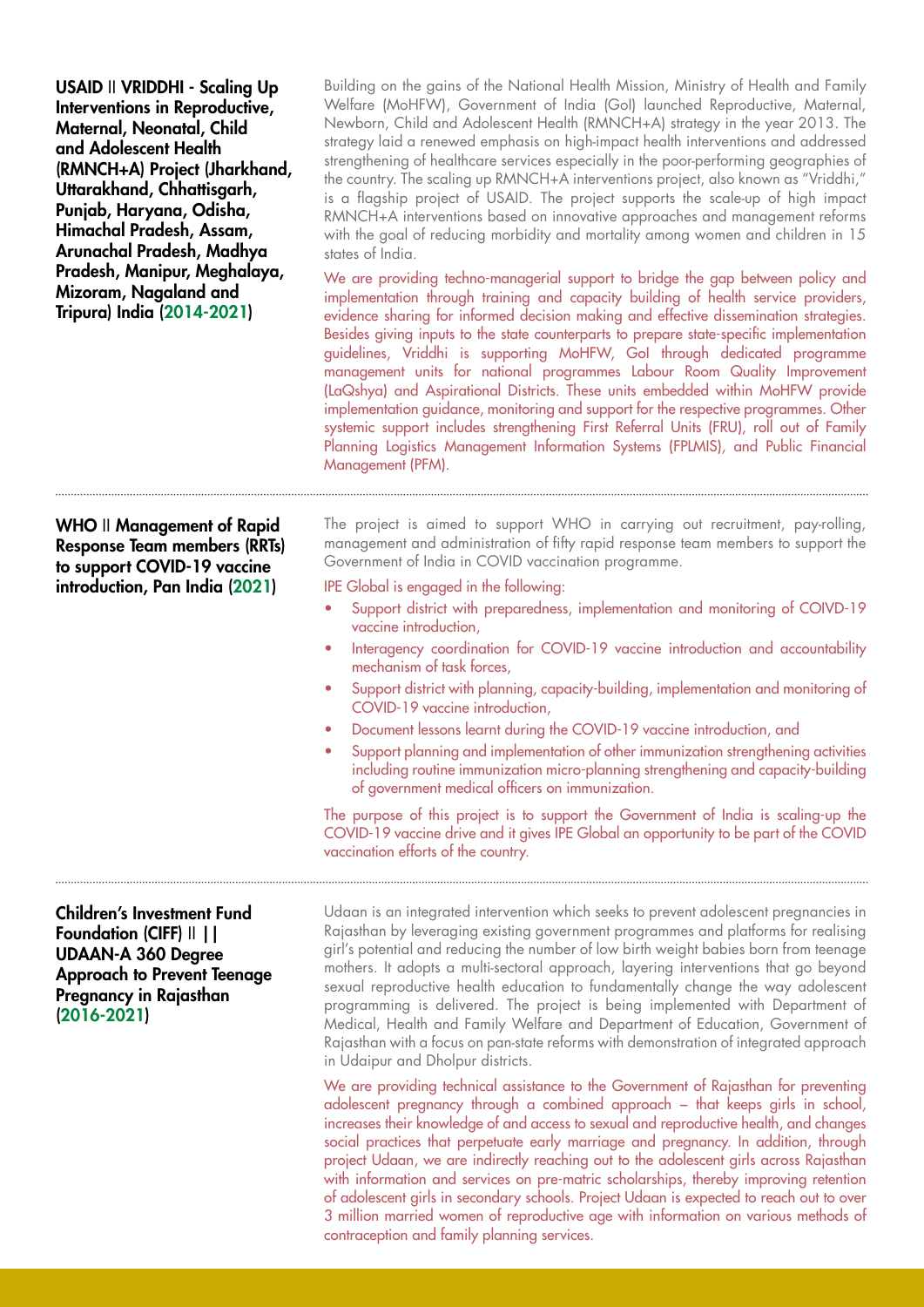| USAID II VRIDDHI - Scaling Up<br>Interventions in Reproductive,<br>Maternal, Neonatal, Child<br>and Adolescent Health<br>(RMNCH+A) Project (Jharkhand,<br>Uttarakhand, Chhattisgarh,<br>Punjab, Haryana, Odisha,<br>Himachal Pradesh, Assam,<br>Arunachal Pradesh, Madhya<br>Pradesh, Manipur, Meghalaya,<br>Mizoram, Nagaland and<br>Tripura) India (2014-2021) | Building on the gains of the National Health Mission, Ministry of Health and Family<br>Welfare (MoHFW), Government of India (GoI) launched Reproductive, Maternal,<br>Newborn, Child and Adolescent Health (RMNCH+A) strategy in the year 2013. The<br>strategy laid a renewed emphasis on high-impact health interventions and addressed<br>strengthening of healthcare services especially in the poor-performing geographies of<br>the country. The scaling up RMNCH+A interventions project, also known as "Vriddhi,"<br>is a flagship project of USAID. The project supports the scale-up of high impact<br>RMNCH+A interventions based on innovative approaches and management reforms<br>with the goal of reducing morbidity and mortality among women and children in 15<br>states of India.<br>We are providing techno-managerial support to bridge the gap between policy and<br>implementation through training and capacity building of health service providers,<br>evidence sharing for informed decision making and effective dissemination strategies.<br>Besides giving inputs to the state counterparts to prepare state-specific implementation<br>guidelines, Vriddhi is supporting MoHFW, Gol through dedicated programme<br>management units for national programmes Labour Room Quality Improvement<br>(LaQshya) and Aspirational Districts. These units embedded within MoHFW provide<br>implementation guidance, monitoring and support for the respective programmes. Other<br>systemic support includes strengthening First Referral Units (FRU), roll out of Family<br>Planning Logistics Management Information Systems (FPLMIS), and Public Financial<br>Management (PFM). |
|------------------------------------------------------------------------------------------------------------------------------------------------------------------------------------------------------------------------------------------------------------------------------------------------------------------------------------------------------------------|----------------------------------------------------------------------------------------------------------------------------------------------------------------------------------------------------------------------------------------------------------------------------------------------------------------------------------------------------------------------------------------------------------------------------------------------------------------------------------------------------------------------------------------------------------------------------------------------------------------------------------------------------------------------------------------------------------------------------------------------------------------------------------------------------------------------------------------------------------------------------------------------------------------------------------------------------------------------------------------------------------------------------------------------------------------------------------------------------------------------------------------------------------------------------------------------------------------------------------------------------------------------------------------------------------------------------------------------------------------------------------------------------------------------------------------------------------------------------------------------------------------------------------------------------------------------------------------------------------------------------------------------------------------------------------------------------------|
| <b>WHO</b> II Management of Rapid<br><b>Response Team members (RRTs)</b><br>to support COVID-19 vaccine<br>introduction, Pan India (2021)                                                                                                                                                                                                                        | The project is aimed to support WHO in carrying out recruitment, pay-rolling,<br>management and administration of fifty rapid response team members to support the<br>Government of India in COVID vaccination programme.<br>IPE Global is engaged in the following:<br>Support district with preparedness, implementation and monitoring of COIVD-19<br>vaccine introduction,<br>Interagency coordination for COVID-19 vaccine introduction and accountability<br>$\bullet$<br>mechanism of task forces,<br>Support district with planning, capacity-building, implementation and monitoring of<br>$\bullet$<br>COVID-19 vaccine introduction,<br>Document lessons learnt during the COVID-19 vaccine introduction, and<br>Support planning and implementation of other immunization strengthening activities<br>including routine immunization micro-planning strengthening and capacity-building<br>of government medical officers on immunization.<br>The purpose of this project is to support the Government of India is scaling-up the<br>COVID-19 vaccine drive and it gives IPE Global an opportunity to be part of the COVID<br>vaccination efforts of the country.                                                                                                                                                                                                                                                                                                                                                                                                                                                                                                                            |
| <b>Children's Investment Fund</b><br>Foundation (CIFF)      <br><b>UDAAN-A 360 Degree</b><br><b>Approach to Prevent Teenage</b><br>Pregnancy in Rajasthan<br>$(2016 - 2021)$                                                                                                                                                                                     | Udaan is an integrated intervention which seeks to prevent adolescent pregnancies in<br>Rajasthan by leveraging existing government programmes and platforms for realising<br>girl's potential and reducing the number of low birth weight babies born from teenage<br>mothers. It adopts a multi-sectoral approach, layering interventions that go beyond<br>sexual reproductive health education to fundamentally change the way adolescent<br>programming is delivered. The project is being implemented with Department of<br>Medical, Health and Family Welfare and Department of Education, Government of<br>Rajasthan with a focus on pan-state reforms with demonstration of integrated approach<br>in Udaipur and Dholpur districts.<br>We are providing technical assistance to the Government of Rajasthan for preventing<br>adolescent pregnancy through a combined approach – that keeps girls in school,<br>increases their knowledge of and access to sexual and reproductive health, and changes<br>social practices that perpetuate early marriage and pregnancy. In addition, through<br>project Udgan, we are indirectly reaching out to the adolescent girls across Rajasthan                                                                                                                                                                                                                                                                                                                                                                                                                                                                                                        |

project Udaan, we are indirectly reaching out to the adolescent girls across Rajasthan with information and services on pre-matric scholarships, thereby improving retention of adolescent girls in secondary schools. Project Udaan is expected to reach out to over 3 million married women of reproductive age with information on various methods of contraception and family planning services.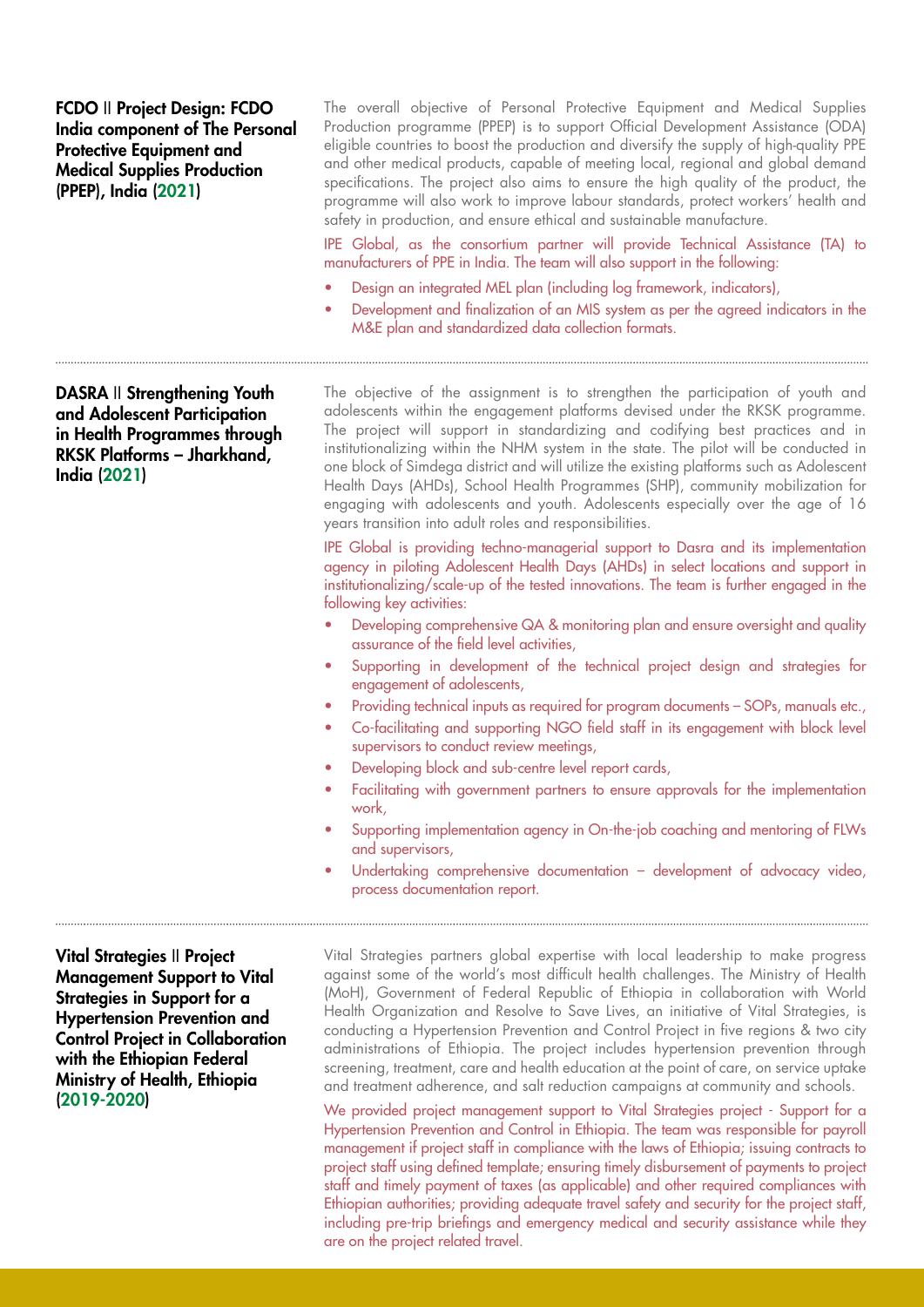FCDO II Project Design: FCDO India component of The Personal Protective Equipment and Medical Supplies Production (PPEP), India (2021)

The overall objective of Personal Protective Equipment and Medical Supplies Production programme (PPEP) is to support Official Development Assistance (ODA) eligible countries to boost the production and diversify the supply of high-quality PPE and other medical products, capable of meeting local, regional and global demand specifications. The project also aims to ensure the high quality of the product, the programme will also work to improve labour standards, protect workers' health and safety in production, and ensure ethical and sustainable manufacture.

IPE Global, as the consortium partner will provide Technical Assistance (TA) to manufacturers of PPE in India. The team will also support in the following:

- Design an integrated MEL plan (including log framework, indicators),
- Development and finalization of an MIS system as per the agreed indicators in the M&E plan and standardized data collection formats.

DASRA II Strengthening Youth and Adolescent Participation in Health Programmes through RKSK Platforms – Jharkhand, India (2021)

The objective of the assignment is to strengthen the participation of youth and adolescents within the engagement platforms devised under the RKSK programme. The project will support in standardizing and codifying best practices and in institutionalizing within the NHM system in the state. The pilot will be conducted in one block of Simdega district and will utilize the existing platforms such as Adolescent Health Days (AHDs), School Health Programmes (SHP), community mobilization for engaging with adolescents and youth. Adolescents especially over the age of 16 years transition into adult roles and responsibilities.

IPE Global is providing techno-managerial support to Dasra and its implementation agency in piloting Adolescent Health Days (AHDs) in select locations and support in institutionalizing/scale-up of the tested innovations. The team is further engaged in the following key activities:

- Developing comprehensive QA & monitoring plan and ensure oversight and quality assurance of the field level activities,
- Supporting in development of the technical project design and strategies for engagement of adolescents,
- Providing technical inputs as required for program documents SOPs, manuals etc.,
- Co-facilitating and supporting NGO field staff in its engagement with block level supervisors to conduct review meetings,
- Developing block and sub-centre level report cards,
- Facilitating with government partners to ensure approvals for the implementation work,
- Supporting implementation agency in On-the-job coaching and mentoring of FLWs and supervisors,
- Undertaking comprehensive documentation development of advocacy video, process documentation report.

Vital Strategies II Project Management Support to Vital Strategies in Support for a Hypertension Prevention and Control Project in Collaboration with the Ethiopian Federal Ministry of Health, Ethiopia (2019-2020)

Vital Strategies partners global expertise with local leadership to make progress against some of the world's most difficult health challenges. The Ministry of Health (MoH), Government of Federal Republic of Ethiopia in collaboration with World Health Organization and Resolve to Save Lives, an initiative of Vital Strategies, is conducting a Hypertension Prevention and Control Project in five regions & two city administrations of Ethiopia. The project includes hypertension prevention through screening, treatment, care and health education at the point of care, on service uptake and treatment adherence, and salt reduction campaigns at community and schools.

We provided project management support to Vital Strategies project - Support for a Hypertension Prevention and Control in Ethiopia. The team was responsible for payroll management if project staff in compliance with the laws of Ethiopia; issuing contracts to project staff using defined template; ensuring timely disbursement of payments to project staff and timely payment of taxes (as applicable) and other required compliances with Ethiopian authorities; providing adequate travel safety and security for the project staff, including pre-trip briefings and emergency medical and security assistance while they are on the project related travel.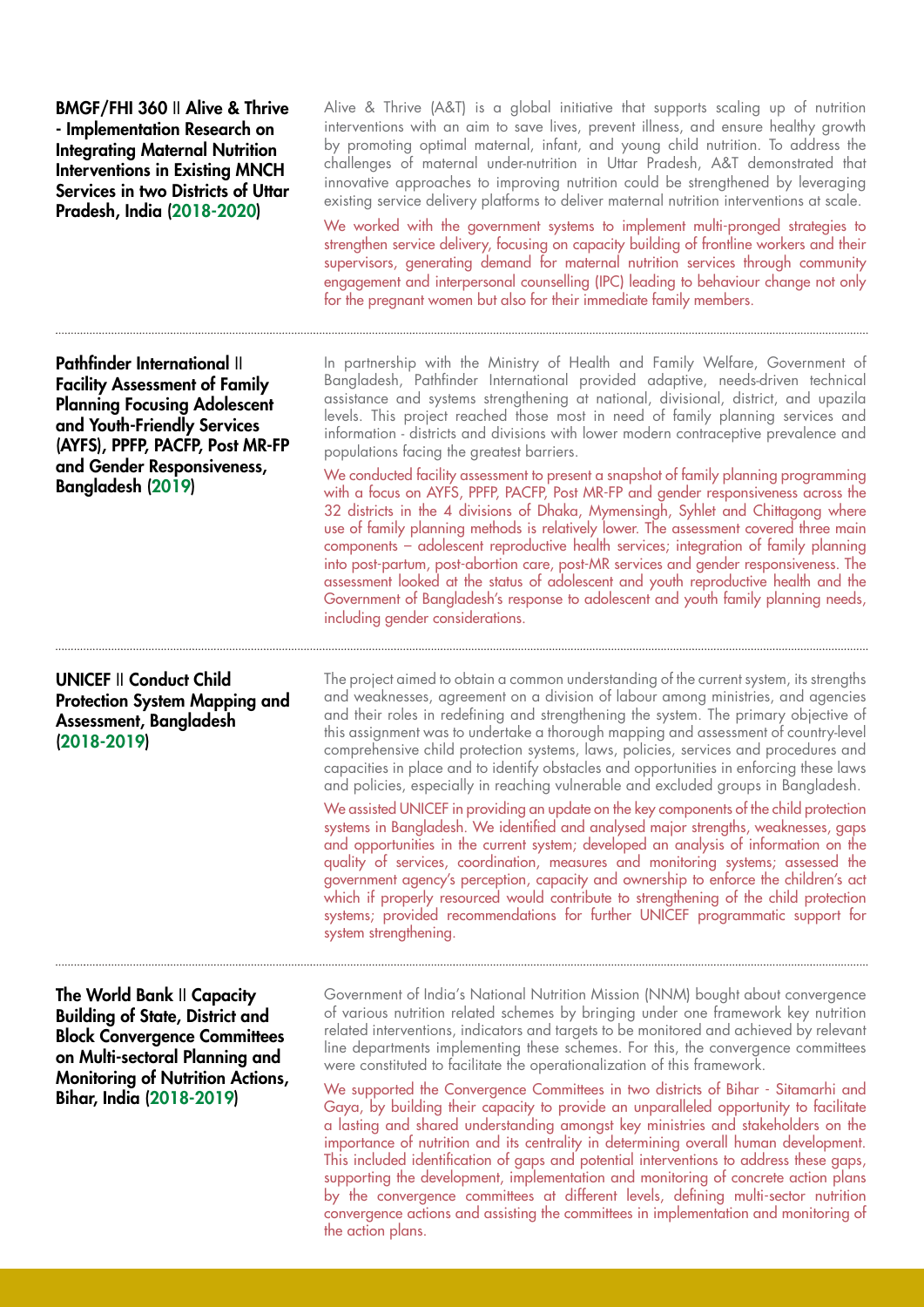BMGF/FHI 360 II Alive & Thrive - Implementation Research on Integrating Maternal Nutrition Interventions in Existing MNCH Services in two Districts of Uttar Pradesh, India (2018-2020)

Pathfinder International II Facility Assessment of Family Planning Focusing Adolescent and Youth-Friendly Services (AYFS), PPFP, PACFP, Post MR-FP and Gender Responsiveness, Bangladesh (2019)

UNICEF II Conduct Child Protection System Mapping and Assessment, Bangladesh (2018-2019)

Alive & Thrive (A&T) is a global initiative that supports scaling up of nutrition interventions with an aim to save lives, prevent illness, and ensure healthy growth by promoting optimal maternal, infant, and young child nutrition. To address the challenges of maternal under-nutrition in Uttar Pradesh, A&T demonstrated that innovative approaches to improving nutrition could be strengthened by leveraging existing service delivery platforms to deliver maternal nutrition interventions at scale.

We worked with the government systems to implement multi-pronged strategies to strengthen service delivery, focusing on capacity building of frontline workers and their supervisors, generating demand for maternal nutrition services through community engagement and interpersonal counselling (IPC) leading to behaviour change not only for the pregnant women but also for their immediate family members.

In partnership with the Ministry of Health and Family Welfare, Government of Bangladesh, Pathfinder International provided adaptive, needs-driven technical assistance and systems strengthening at national, divisional, district, and upazila levels. This project reached those most in need of family planning services and information - districts and divisions with lower modern contraceptive prevalence and populations facing the greatest barriers.

We conducted facility assessment to present a snapshot of family planning programming with a focus on AYFS, PPFP, PACFP, Post MR-FP and gender responsiveness across the 32 districts in the 4 divisions of Dhaka, Mymensingh, Syhlet and Chittagong where use of family planning methods is relatively lower. The assessment covered three main components – adolescent reproductive health services; integration of family planning into post-partum, post-abortion care, post-MR services and gender responsiveness. The assessment looked at the status of adolescent and youth reproductive health and the Government of Bangladesh's response to adolescent and youth family planning needs, including gender considerations.

The project aimed to obtain a common understanding of the current system, its strengths and weaknesses, agreement on a division of labour among ministries, and agencies and their roles in redefining and strengthening the system. The primary objective of this assignment was to undertake a thorough mapping and assessment of country-level comprehensive child protection systems, laws, policies, services and procedures and capacities in place and to identify obstacles and opportunities in enforcing these laws and policies, especially in reaching vulnerable and excluded groups in Bangladesh.

We assisted UNICEF in providing an update on the key components of the child protection systems in Bangladesh. We identified and analysed major strengths, weaknesses, gaps and opportunities in the current system; developed an analysis of information on the quality of services, coordination, measures and monitoring systems; assessed the government agency's perception, capacity and ownership to enforce the children's act which if properly resourced would contribute to strengthening of the child protection systems; provided recommendations for further UNICEF programmatic support for system strengthening.

The World Bank II Capacity Building of State, District and Block Convergence Committees on Multi-sectoral Planning and Monitoring of Nutrition Actions, Bihar, India (2018-2019)

Government of India's National Nutrition Mission (NNM) bought about convergence of various nutrition related schemes by bringing under one framework key nutrition related interventions, indicators and targets to be monitored and achieved by relevant line departments implementing these schemes. For this, the convergence committees were constituted to facilitate the operationalization of this framework.

We supported the Convergence Committees in two districts of Bihar - Sitamarhi and Gaya, by building their capacity to provide an unparalleled opportunity to facilitate a lasting and shared understanding amongst key ministries and stakeholders on the importance of nutrition and its centrality in determining overall human development. This included identification of gaps and potential interventions to address these gaps, supporting the development, implementation and monitoring of concrete action plans by the convergence committees at different levels, defining multi-sector nutrition convergence actions and assisting the committees in implementation and monitoring of the action plans.